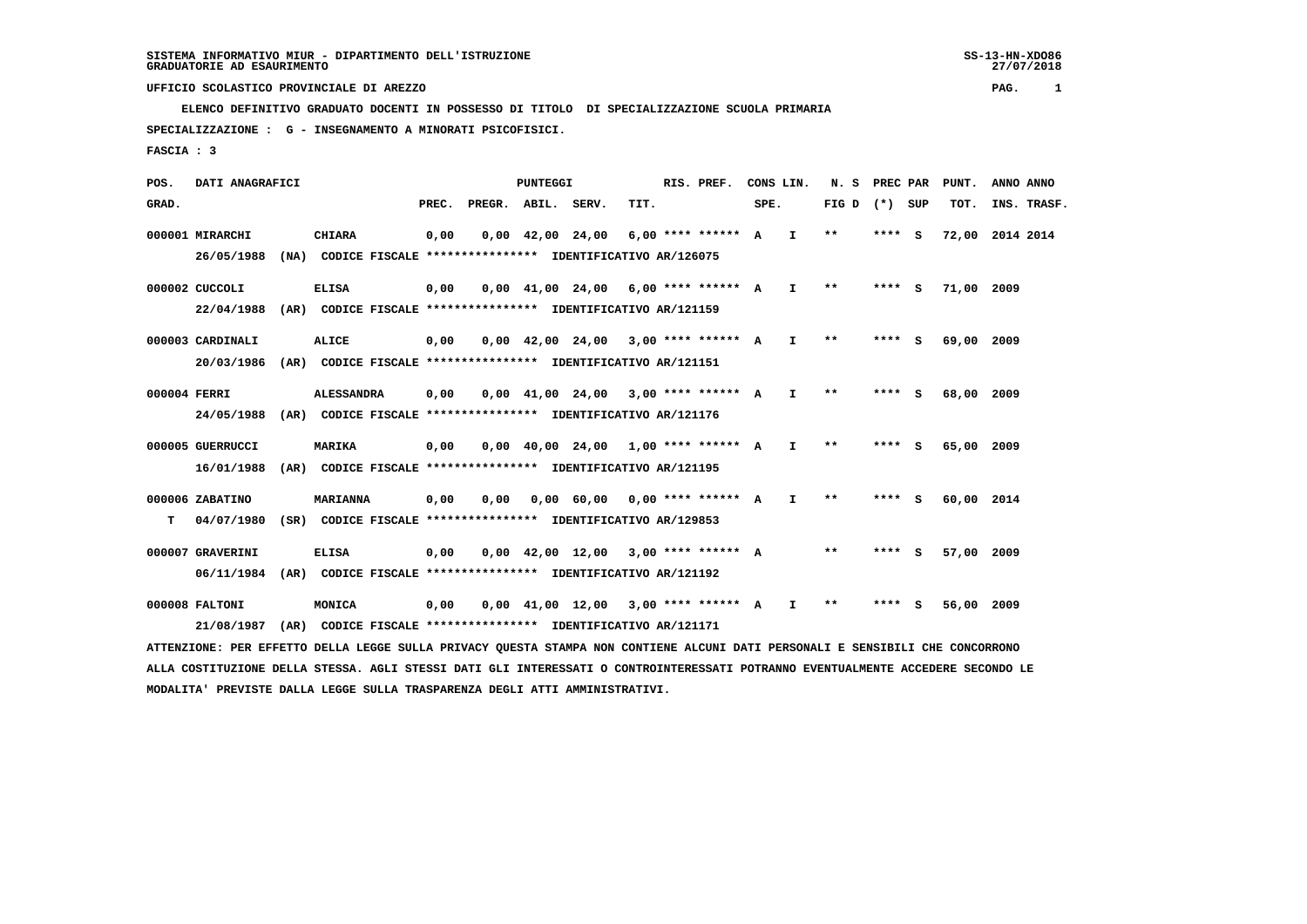**ELENCO DEFINITIVO GRADUATO DOCENTI IN POSSESSO DI TITOLO DI SPECIALIZZAZIONE SCUOLA PRIMARIA SPECIALIZZAZIONE : G - INSEGNAMENTO A MINORATI PSICOFISICI.**

 **FASCIA : 3**

 **POS. DATI ANAGRAFICI PUNTEGGI RIS. PREF. CONS LIN. N. S PREC PAR PUNT. ANNO ANNO**GRAD. **BRAD. PREC. PREGR. ABIL. SERV. TIT.** SPE. FIG D (\*) SUP TOT. INS. TRASF.  **000001 MIRARCHI CHIARA 0,00 0,00 42,00 24,00 6,00 \*\*\*\* \*\*\*\*\*\* A I \*\* \*\*\*\* S 72,00 2014 2014 26/05/1988 (NA) CODICE FISCALE \*\*\*\*\*\*\*\*\*\*\*\*\*\*\*\* IDENTIFICATIVO AR/126075 000002 CUCCOLI ELISA 0,00 0,00 41,00 24,00 6,00 \*\*\*\* \*\*\*\*\*\* A I \*\* \*\*\*\* S 71,00 2009 22/04/1988 (AR) CODICE FISCALE \*\*\*\*\*\*\*\*\*\*\*\*\*\*\*\* IDENTIFICATIVO AR/121159 000003 CARDINALI ALICE 0,00 0,00 42,00 24,00 3,00 \*\*\*\* \*\*\*\*\*\* A I \*\* \*\*\*\* S 69,00 2009 20/03/1986 (AR) CODICE FISCALE \*\*\*\*\*\*\*\*\*\*\*\*\*\*\*\* IDENTIFICATIVO AR/121151 000004 FERRI ALESSANDRA 0,00 0,00 41,00 24,00 3,00 \*\*\*\* \*\*\*\*\*\* A I \*\* \*\*\*\* S 68,00 2009 24/05/1988 (AR) CODICE FISCALE \*\*\*\*\*\*\*\*\*\*\*\*\*\*\*\* IDENTIFICATIVO AR/121176 000005 GUERRUCCI MARIKA 0,00 0,00 40,00 24,00 1,00 \*\*\*\* \*\*\*\*\*\* A I \*\* \*\*\*\* S 65,00 2009 16/01/1988 (AR) CODICE FISCALE \*\*\*\*\*\*\*\*\*\*\*\*\*\*\*\* IDENTIFICATIVO AR/121195 000006 ZABATINO MARIANNA 0,00 0,00 0,00 60,00 0,00 \*\*\*\* \*\*\*\*\*\* A I \*\* \*\*\*\* S 60,00 2014 T 04/07/1980 (SR) CODICE FISCALE \*\*\*\*\*\*\*\*\*\*\*\*\*\*\*\* IDENTIFICATIVO AR/129853 000007 GRAVERINI ELISA 0,00 0,00 42,00 12,00 3,00 \*\*\*\* \*\*\*\*\*\* A \*\* \*\*\*\* S 57,00 2009 06/11/1984 (AR) CODICE FISCALE \*\*\*\*\*\*\*\*\*\*\*\*\*\*\*\* IDENTIFICATIVO AR/121192**

 **000008 FALTONI MONICA 0,00 0,00 41,00 12,00 3,00 \*\*\*\* \*\*\*\*\*\* A I \*\* \*\*\*\* S 56,00 2009 21/08/1987 (AR) CODICE FISCALE \*\*\*\*\*\*\*\*\*\*\*\*\*\*\*\* IDENTIFICATIVO AR/121171**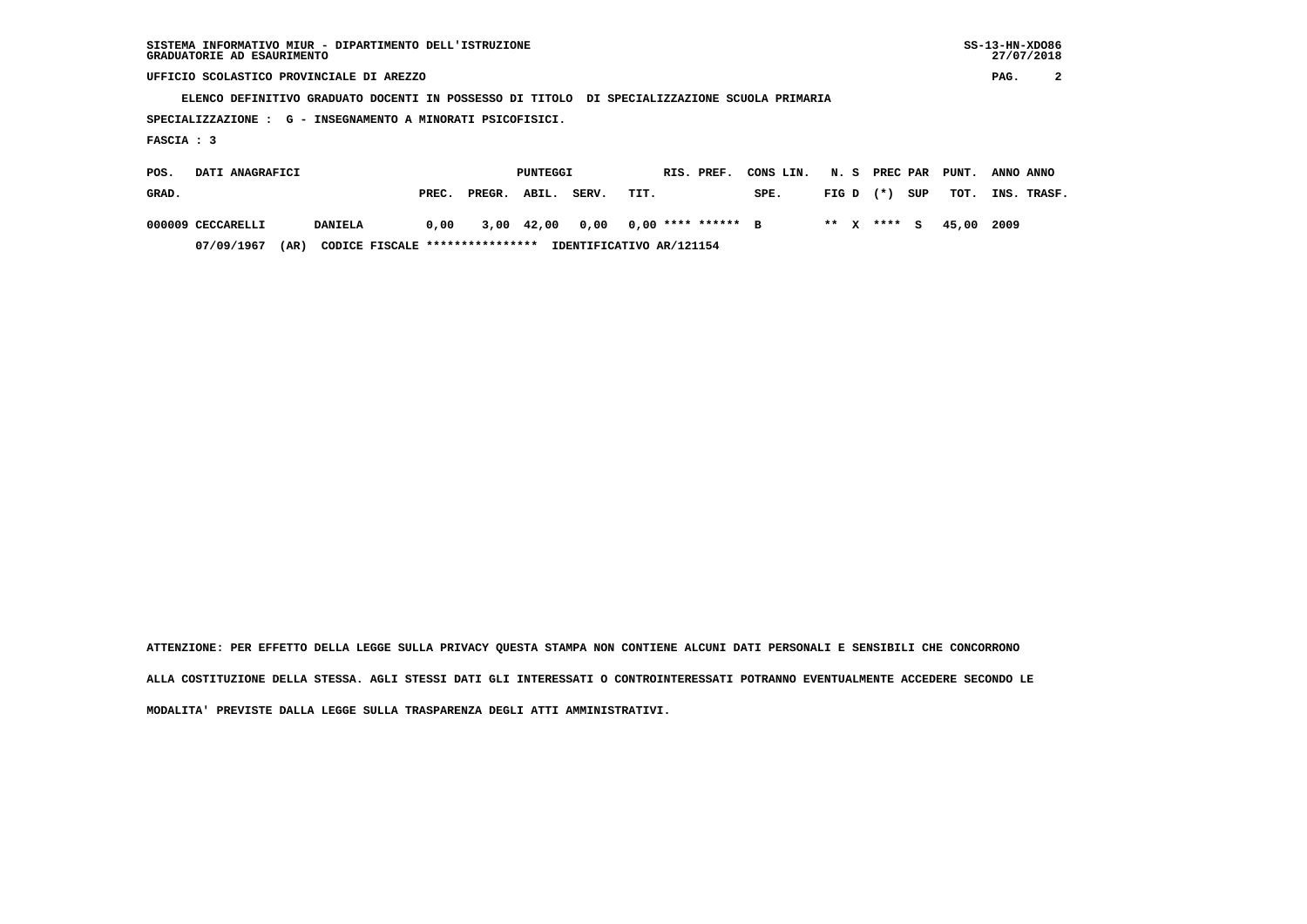| SISTEMA INFORMATIVO MIUR - DIPARTIMENTO DELL'ISTRUZIONE | $SS-13-HN-XDO86$ |
|---------------------------------------------------------|------------------|
| GRADUATORIE AD ESAURIMENTO                              | 27/07/2018       |

 $SS-13-HN-XDO86$ 27/07/2018

 **UFFICIO SCOLASTICO PROVINCIALE DI AREZZO PAG. 2**

 **ELENCO DEFINITIVO GRADUATO DOCENTI IN POSSESSO DI TITOLO DI SPECIALIZZAZIONE SCUOLA PRIMARIA**

 **SPECIALIZZAZIONE : G - INSEGNAMENTO A MINORATI PSICOFISICI.**

 **FASCIA : 3**

| POS.  | DATI ANAGRAFICI   |                                         |       | PUNTEGGI     |  | RIS. PREF. | CONS LIN.                | N. S PREC PAR |             |  | PUNT. | ANNO ANNO |             |
|-------|-------------------|-----------------------------------------|-------|--------------|--|------------|--------------------------|---------------|-------------|--|-------|-----------|-------------|
| GRAD. |                   |                                         | PREC. | PREGR. ABIL. |  | SERV.      | TIT.                     | SPE.          | $FIG D (*)$ |  | SUP   | тот.      | INS. TRASF. |
|       | 000009 CECCARELLI | <b>DANIELA</b>                          | 0,00  | 3,00 42,00   |  | 0,00       | $0.00$ **** ****** B     |               | ** x **** s |  |       | 45.00     | 2009        |
|       | 07/09/1967        | CODICE FISCALE ****************<br>(AR) |       |              |  |            | IDENTIFICATIVO AR/121154 |               |             |  |       |           |             |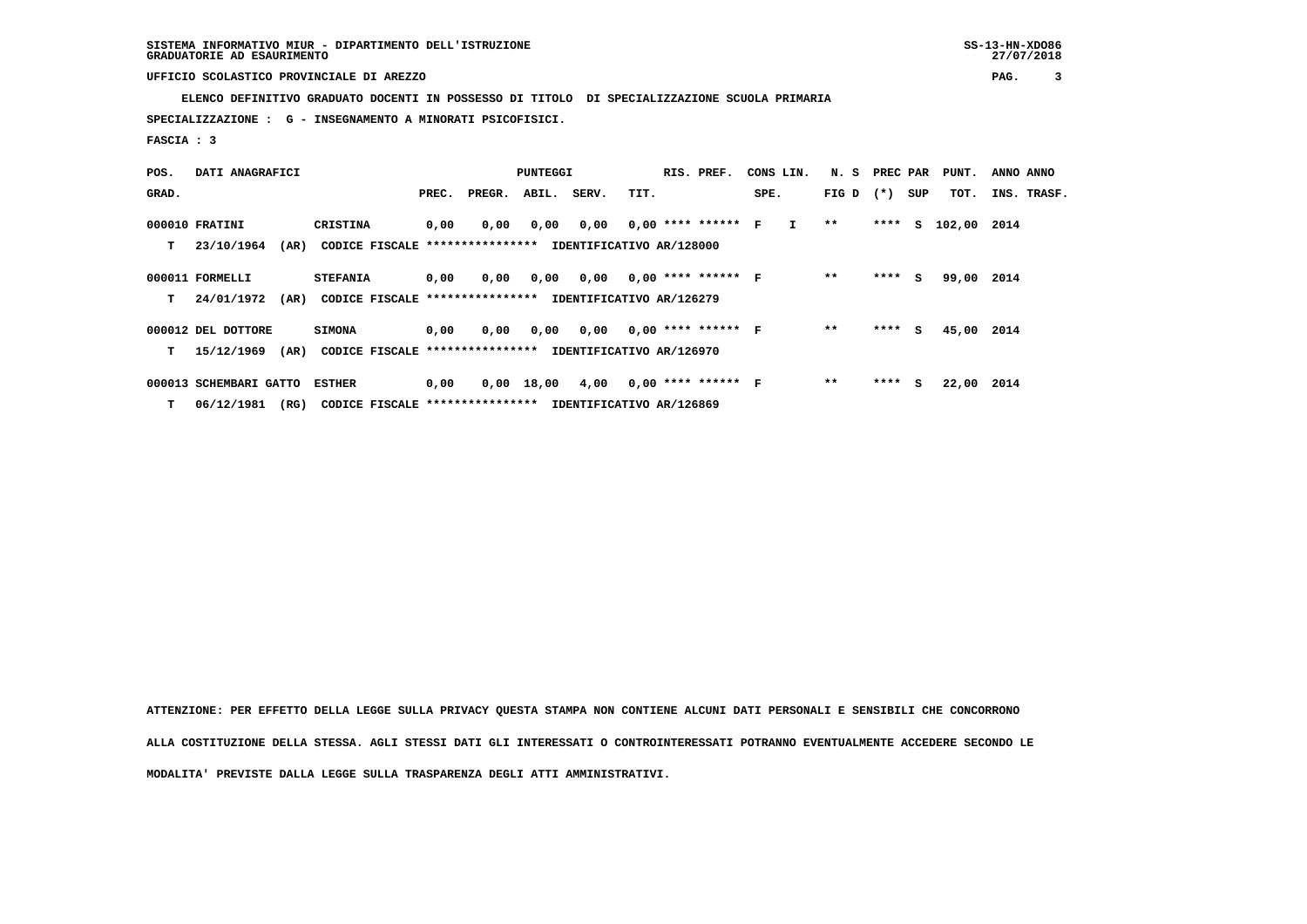**ELENCO DEFINITIVO GRADUATO DOCENTI IN POSSESSO DI TITOLO DI SPECIALIZZAZIONE SCUOLA PRIMARIA**

 **SPECIALIZZAZIONE : G - INSEGNAMENTO A MINORATI PSICOFISICI.**

 **FASCIA : 3**

| POS.  | DATI ANAGRAFICI        |                                                          |       |        | PUNTEGGI    |                                    |      | RIS. PREF. |                      | CONS LIN.                     | N. S PREC PAR |         |     | PUNT.       | ANNO ANNO |             |
|-------|------------------------|----------------------------------------------------------|-------|--------|-------------|------------------------------------|------|------------|----------------------|-------------------------------|---------------|---------|-----|-------------|-----------|-------------|
| GRAD. |                        |                                                          | PREC. | PREGR. | ABIL. SERV. |                                    | TIT. |            |                      | SPE.                          | FIG D $(*)$   |         | SUP | TOT.        |           | INS. TRASF. |
|       | 000010 FRATINI         | CRISTINA                                                 | 0,00  | 0,00   | 0,00        |                                    |      |            |                      | $0,00$ $0,00$ **** ****** F I | $* *$         | ****    | S.  | 102,00 2014 |           |             |
| т     | (AR)<br>23/10/1964     | CODICE FISCALE ****************                          |       |        |             | IDENTIFICATIVO AR/128000           |      |            |                      |                               |               |         |     |             |           |             |
|       | 000011 FORMELLI        | <b>STEFANIA</b>                                          | 0,00  | 0,00   |             | $0,00$ $0,00$ $0,00$ **** ****** F |      |            |                      |                               | $**$          | $***$ S |     | 99,00 2014  |           |             |
| т     | 24/01/1972<br>(AR)     | CODICE FISCALE **************** IDENTIFICATIVO AR/126279 |       |        |             |                                    |      |            |                      |                               |               |         |     |             |           |             |
|       | 000012 DEL DOTTORE     | <b>SIMONA</b>                                            | 0,00  | 0,00   | 0,00        | 0.00                               |      |            | $0.00$ **** ****** F |                               | $**$          | $***$ S |     | 45,00 2014  |           |             |
| т     | 15/12/1969<br>(AR)     | CODICE FISCALE ****************                          |       |        |             | IDENTIFICATIVO AR/126970           |      |            |                      |                               |               |         |     |             |           |             |
|       | 000013 SCHEMBARI GATTO | <b>ESTHER</b>                                            | 0,00  |        | 0,00 18,00  | 4,00                               |      |            | $0,00$ **** ****** F |                               | $* *$         | $***$ S |     | 22,00 2014  |           |             |
| T.    | 06/12/1981<br>(RG)     | CODICE FISCALE ****************                          |       |        |             | IDENTIFICATIVO AR/126869           |      |            |                      |                               |               |         |     |             |           |             |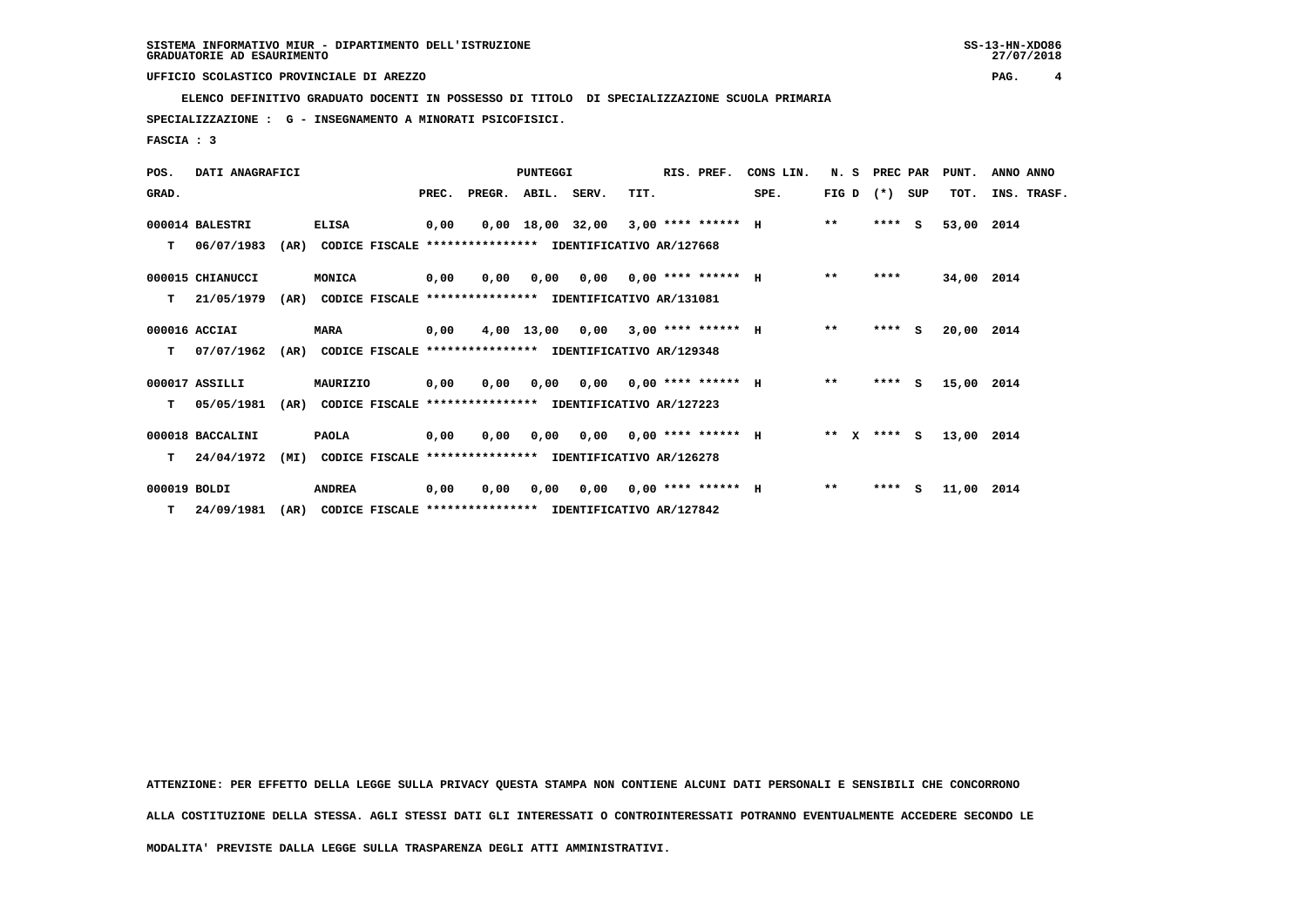**ELENCO DEFINITIVO GRADUATO DOCENTI IN POSSESSO DI TITOLO DI SPECIALIZZAZIONE SCUOLA PRIMARIA**

 **SPECIALIZZAZIONE : G - INSEGNAMENTO A MINORATI PSICOFISICI.**

 **FASCIA : 3**

| POS.         | DATI ANAGRAFICI  |      |                                                          |       |        | PUNTEGGI    |                                       |      | RIS. PREF.                  | CONS LIN. | N.S     | PREC PAR |     | PUNT.      | ANNO ANNO   |
|--------------|------------------|------|----------------------------------------------------------|-------|--------|-------------|---------------------------------------|------|-----------------------------|-----------|---------|----------|-----|------------|-------------|
| GRAD.        |                  |      |                                                          | PREC. | PREGR. | ABIL. SERV. |                                       | TIT. |                             | SPE.      | FIG D   | $(* )$   | SUP | TOT.       | INS. TRASF. |
|              | 000014 BALESTRI  |      | <b>ELISA</b>                                             | 0,00  |        |             | $0,00$ 18,00 32,00 3,00 **** ****** H |      |                             |           | $* *$   | $***$ S  |     | 53,00      | 2014        |
| т            | 06/07/1983       | (AR) | CODICE FISCALE **************** IDENTIFICATIVO AR/127668 |       |        |             |                                       |      |                             |           |         |          |     |            |             |
|              | 000015 CHIANUCCI |      | MONICA                                                   | 0,00  | 0,00   | 0.00        |                                       |      | $0,00$ $0,00$ **** ****** H |           | $**$    | ****     |     | 34,00 2014 |             |
| т            | 21/05/1979       | (AR) | CODICE FISCALE **************** IDENTIFICATIVO AR/131081 |       |        |             |                                       |      |                             |           |         |          |     |            |             |
|              | 000016 ACCIAI    |      | <b>MARA</b>                                              | 0,00  |        | 4,00 13,00  | 0.00                                  |      | $3.00$ **** ****** H        |           | $***$   | ****     | S.  | 20,00 2014 |             |
| т            | 07/07/1962       | (AR) | CODICE FISCALE **************** IDENTIFICATIVO AR/129348 |       |        |             |                                       |      |                             |           |         |          |     |            |             |
|              | 000017 ASSILLI   |      | MAURIZIO                                                 | 0,00  | 0,00   | 0,00        |                                       |      | $0.00$ $0.00$ **** ****** H |           | $* *$   | $***$ S  |     | 15,00      | 2014        |
| т            | 05/05/1981       | (AR) | CODICE FISCALE **************** IDENTIFICATIVO AR/127223 |       |        |             |                                       |      |                             |           |         |          |     |            |             |
|              | 000018 BACCALINI |      | <b>PAOLA</b>                                             | 0,00  | 0,00   | 0,00        |                                       |      | $0,00$ $0,00$ **** ****** H |           | $***$ X | **** S   |     | 13,00 2014 |             |
| T.           | 24/04/1972       | (MI) | CODICE FISCALE **************** IDENTIFICATIVO AR/126278 |       |        |             |                                       |      |                             |           |         |          |     |            |             |
| 000019 BOLDI |                  |      | <b>ANDREA</b>                                            | 0,00  | 0,00   | 0,00        | 0,00                                  |      | $0.00$ **** ****** H        |           | $* *$   | **** S   |     | 11,00      | 2014        |
| т            | 24/09/1981       | (AR) | CODICE FISCALE **************** IDENTIFICATIVO AR/127842 |       |        |             |                                       |      |                             |           |         |          |     |            |             |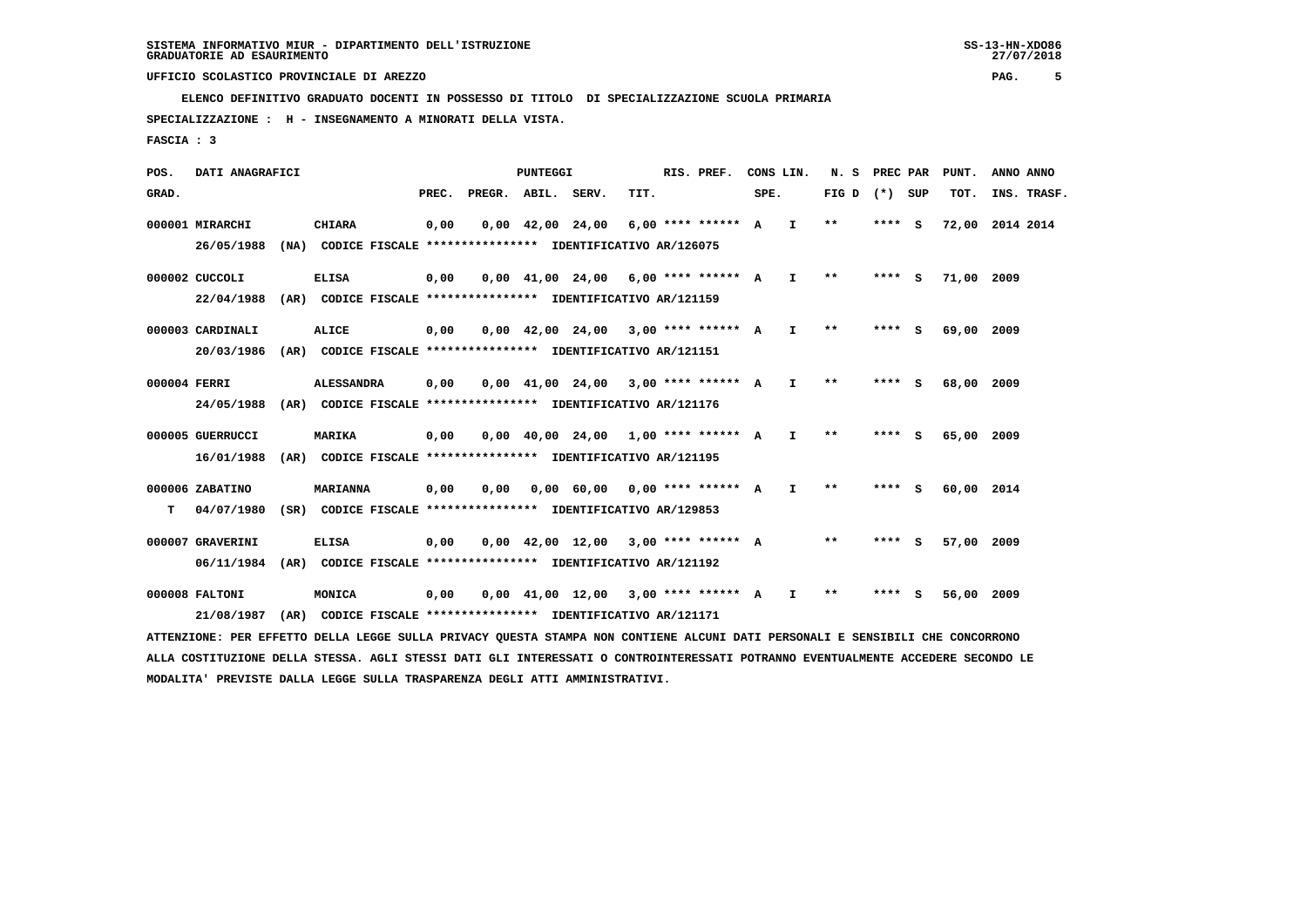**ELENCO DEFINITIVO GRADUATO DOCENTI IN POSSESSO DI TITOLO DI SPECIALIZZAZIONE SCUOLA PRIMARIA**

 **SPECIALIZZAZIONE : H - INSEGNAMENTO A MINORATI DELLA VISTA.**

 **FASCIA : 3**

 **POS. DATI ANAGRAFICI PUNTEGGI RIS. PREF. CONS LIN. N. S PREC PAR PUNT. ANNO ANNO**GRAD. **PREGRADE SERVEGE SERVE SERVE SPEREGE SPEREGALES SPEREGALES SPEREGALES SPEREGALES SPEREGALES SUP TOT. INS. TRASF. 000001 MIRARCHI CHIARA 0,00 0,00 42,00 24,00 6,00 \*\*\*\* \*\*\*\*\*\* A I \*\* \*\*\*\* S 72,00 2014 2014 26/05/1988 (NA) CODICE FISCALE \*\*\*\*\*\*\*\*\*\*\*\*\*\*\*\* IDENTIFICATIVO AR/126075 000002 CUCCOLI ELISA 0,00 0,00 41,00 24,00 6,00 \*\*\*\* \*\*\*\*\*\* A I \*\* \*\*\*\* S 71,00 2009 22/04/1988 (AR) CODICE FISCALE \*\*\*\*\*\*\*\*\*\*\*\*\*\*\*\* IDENTIFICATIVO AR/121159 000003 CARDINALI ALICE 0,00 0,00 42,00 24,00 3,00 \*\*\*\* \*\*\*\*\*\* A I \*\* \*\*\*\* S 69,00 2009 20/03/1986 (AR) CODICE FISCALE \*\*\*\*\*\*\*\*\*\*\*\*\*\*\*\* IDENTIFICATIVO AR/121151 000004 FERRI ALESSANDRA 0,00 0,00 41,00 24,00 3,00 \*\*\*\* \*\*\*\*\*\* A I \*\* \*\*\*\* S 68,00 2009 24/05/1988 (AR) CODICE FISCALE \*\*\*\*\*\*\*\*\*\*\*\*\*\*\*\* IDENTIFICATIVO AR/121176 000005 GUERRUCCI MARIKA 0,00 0,00 40,00 24,00 1,00 \*\*\*\* \*\*\*\*\*\* A I \*\* \*\*\*\* S 65,00 2009 16/01/1988 (AR) CODICE FISCALE \*\*\*\*\*\*\*\*\*\*\*\*\*\*\*\* IDENTIFICATIVO AR/121195 000006 ZABATINO MARIANNA 0,00 0,00 0,00 60,00 0,00 \*\*\*\* \*\*\*\*\*\* A I \*\* \*\*\*\* S 60,00 2014 T 04/07/1980 (SR) CODICE FISCALE \*\*\*\*\*\*\*\*\*\*\*\*\*\*\*\* IDENTIFICATIVO AR/129853 000007 GRAVERINI ELISA 0,00 0,00 42,00 12,00 3,00 \*\*\*\* \*\*\*\*\*\* A \*\* \*\*\*\* S 57,00 2009 06/11/1984 (AR) CODICE FISCALE \*\*\*\*\*\*\*\*\*\*\*\*\*\*\*\* IDENTIFICATIVO AR/121192 000008 FALTONI MONICA 0,00 0,00 41,00 12,00 3,00 \*\*\*\* \*\*\*\*\*\* A I \*\* \*\*\*\* S 56,00 2009 21/08/1987 (AR) CODICE FISCALE \*\*\*\*\*\*\*\*\*\*\*\*\*\*\*\* IDENTIFICATIVO AR/121171**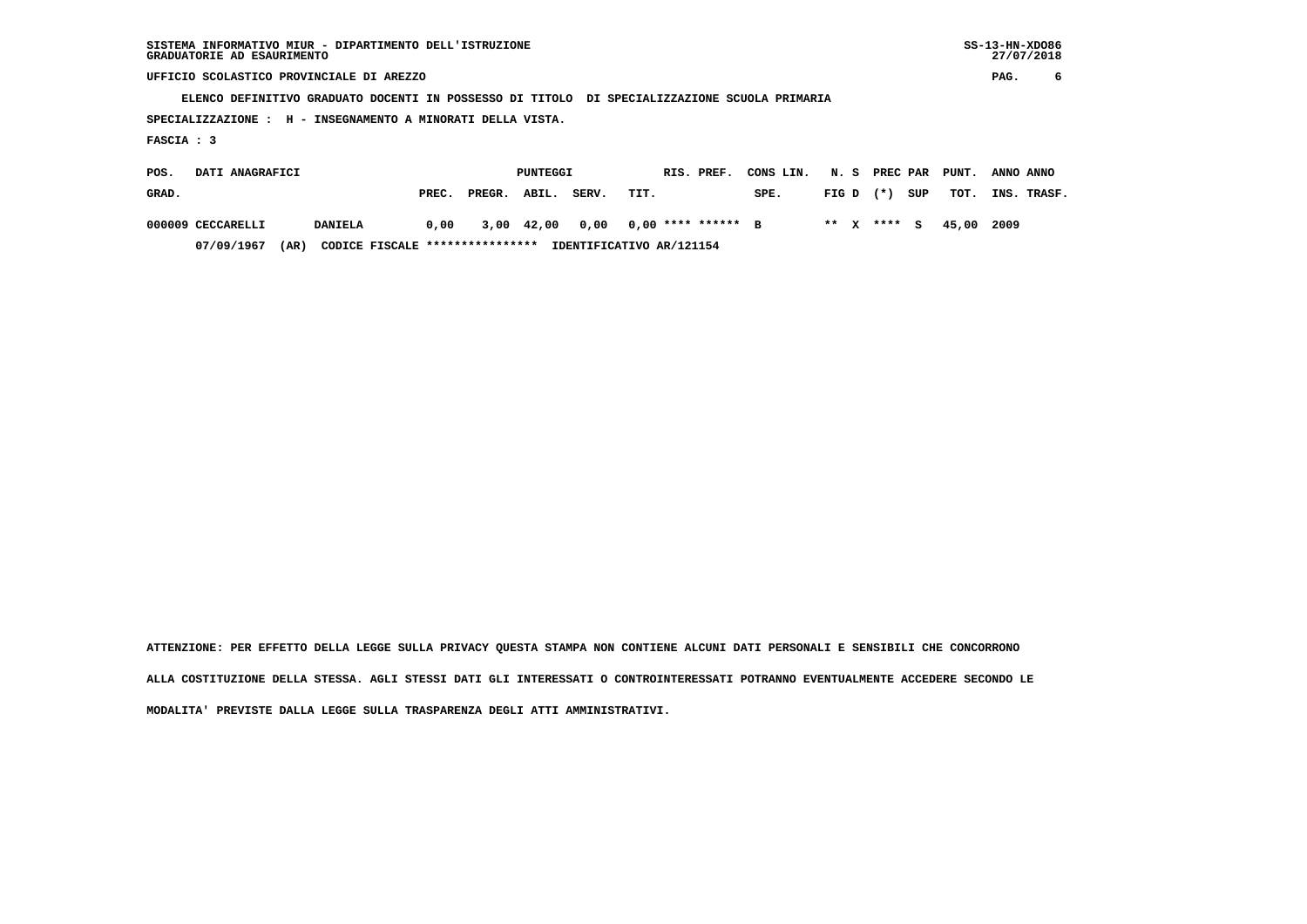| SISTEMA INFORMATIVO MIUR - DIPARTIMENTO DELL'ISTRUZIONE | $SS-13-HN-XDO86$ |
|---------------------------------------------------------|------------------|
| GRADUATORIE AD ESAURIMENTO                              | 27/07/2018       |

 $SS-13-HN-XDO86$ 27/07/2018

 **UFFICIO SCOLASTICO PROVINCIALE DI AREZZO PAG. 6**

 **ELENCO DEFINITIVO GRADUATO DOCENTI IN POSSESSO DI TITOLO DI SPECIALIZZAZIONE SCUOLA PRIMARIA**

 **SPECIALIZZAZIONE : H - INSEGNAMENTO A MINORATI DELLA VISTA.**

 **FASCIA : 3**

| POS.  | DATI ANAGRAFICI   |                                         |       |                 | PUNTEGGI |       | RIS. PREF.               | CONS LIN. N. S PREC PAR PUNT. |  |              |                        | ANNO ANNO   |
|-------|-------------------|-----------------------------------------|-------|-----------------|----------|-------|--------------------------|-------------------------------|--|--------------|------------------------|-------------|
| GRAD. |                   |                                         | PREC. | PREGR. ABIL.    |          | SERV. | TIT.                     | SPE.                          |  | FIGD (*) SUP | тот.                   | INS. TRASF. |
|       | 000009 CECCARELLI | <b>DANIELA</b>                          |       | 0,00 3,00 42,00 |          |       | 0,00 0,00 **** ****** B  |                               |  |              | ** x **** s 45.00 2009 |             |
|       | 07/09/1967        | CODICE FISCALE ****************<br>(AR) |       |                 |          |       | IDENTIFICATIVO AR/121154 |                               |  |              |                        |             |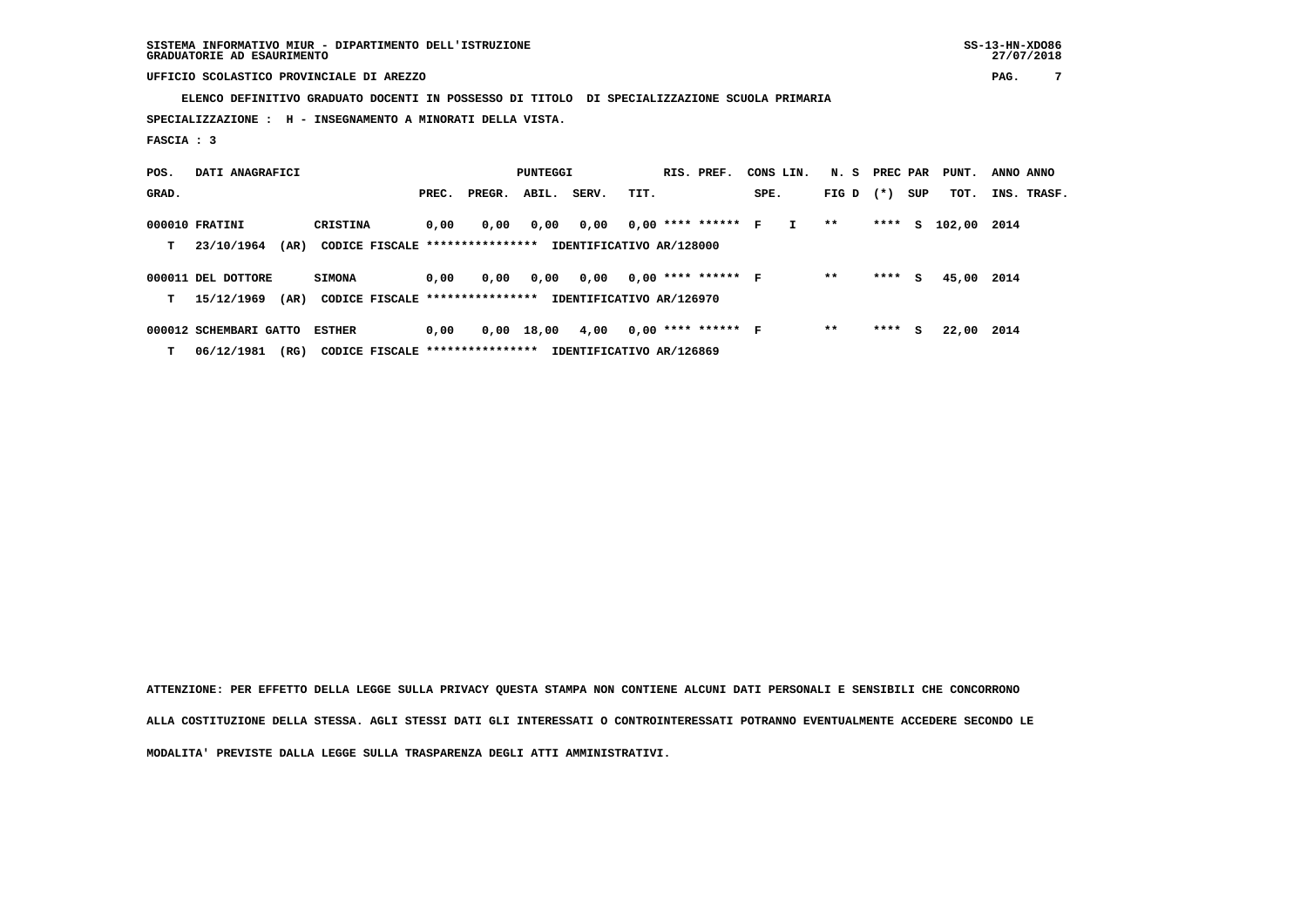**SISTEMA INFORMATIVO MIUR - DIPARTIMENTO DELL'ISTRUZIONE SS-13-HN-XDO86 GRADUATORIE AD ESAURIMENTO 27/07/2018**

 **UFFICIO SCOLASTICO PROVINCIALE DI AREZZO PAG. 7**

 **ELENCO DEFINITIVO GRADUATO DOCENTI IN POSSESSO DI TITOLO DI SPECIALIZZAZIONE SCUOLA PRIMARIA**

 **SPECIALIZZAZIONE : H - INSEGNAMENTO A MINORATI DELLA VISTA.**

 **FASCIA : 3**

| POS.  | DATI ANAGRAFICI        |                                  |       | PUNTEGGI |       | RIS. PREF.               | CONS LIN. |                      | N. S | PREC PAR     |       | PUNT.  | ANNO ANNO |        |      |             |
|-------|------------------------|----------------------------------|-------|----------|-------|--------------------------|-----------|----------------------|------|--------------|-------|--------|-----------|--------|------|-------------|
| GRAD. |                        |                                  | PREC. | PREGR.   | ABIL. | SERV.                    | TIT.      |                      | SPE. |              | FIG D | $(* )$ | SUP       | TOT.   |      | INS. TRASF. |
|       | 000010 FRATINI         | CRISTINA                         | 0,00  | 0,00     | 0,00  | 0,00                     |           | $0,00$ **** ****** F |      | $\mathbf{I}$ | $* *$ | ****   | s         | 102,00 | 2014 |             |
| т     | (AR)<br>23/10/1964     | CODICE FISCALE ****************  |       |          |       | IDENTIFICATIVO AR/128000 |           |                      |      |              |       |        |           |        |      |             |
|       | 000011 DEL DOTTORE     | <b>SIMONA</b>                    | 0.00  | 0.00     | 0.00  | 0.00                     |           | $0,00$ **** ****** F |      |              | $* *$ | ****   | s         | 45,00  | 2014 |             |
| т     | 15/12/1969<br>(AR)     | CODICE FISCALE ***************** |       |          |       | IDENTIFICATIVO AR/126970 |           |                      |      |              |       |        |           |        |      |             |
|       | 000012 SCHEMBARI GATTO | <b>ESTHER</b>                    | 0.00  | 0,00     | 18,00 | 4,00                     |           | $0,00$ **** ****** F |      |              | $* *$ | ****   | s         | 22,00  | 2014 |             |
| т     | 06/12/1981<br>(RG)     | CODICE FISCALE ****************  |       |          |       | IDENTIFICATIVO AR/126869 |           |                      |      |              |       |        |           |        |      |             |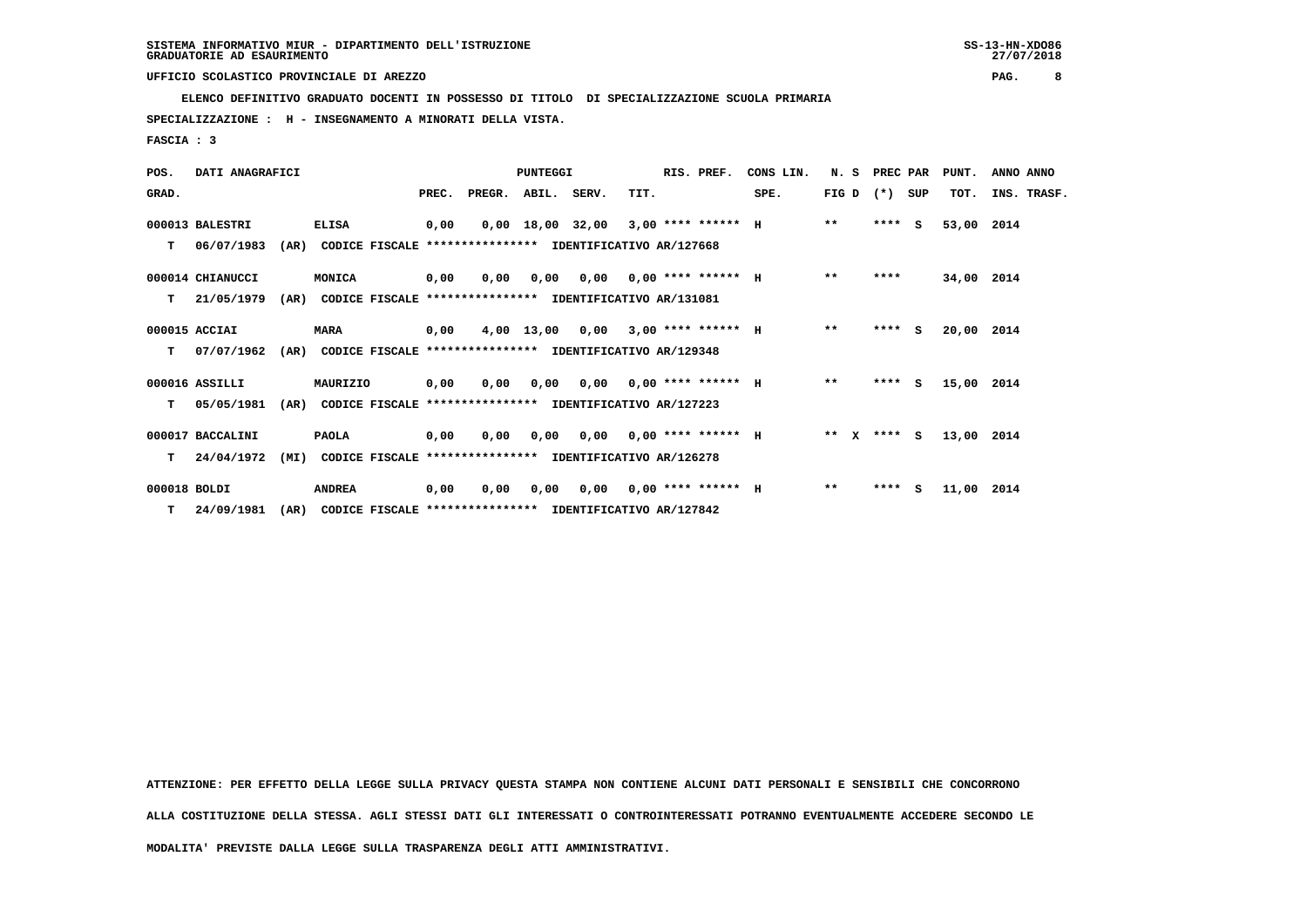**ELENCO DEFINITIVO GRADUATO DOCENTI IN POSSESSO DI TITOLO DI SPECIALIZZAZIONE SCUOLA PRIMARIA**

 **SPECIALIZZAZIONE : H - INSEGNAMENTO A MINORATI DELLA VISTA.**

 **FASCIA : 3**

| POS.         | DATI ANAGRAFICI  |      |                                                          |       |        | PUNTEGGI    |                                       |      | RIS. PREF.                  | CONS LIN. | N.S          | PREC PAR |          | PUNT.      | ANNO ANNO   |
|--------------|------------------|------|----------------------------------------------------------|-------|--------|-------------|---------------------------------------|------|-----------------------------|-----------|--------------|----------|----------|------------|-------------|
| GRAD.        |                  |      |                                                          | PREC. | PREGR. | ABIL. SERV. |                                       | TIT. |                             | SPE.      | FIG D        | $(* )$   | SUP      | TOT.       | INS. TRASF. |
|              | 000013 BALESTRI  |      | <b>ELISA</b>                                             | 0,00  |        |             | $0,00$ 18,00 32,00 3,00 **** ****** H |      |                             |           | $**$         | ****     | <b>S</b> | 53,00      | 2014        |
| т            | 06/07/1983       | (AR) | CODICE FISCALE **************** IDENTIFICATIVO AR/127668 |       |        |             |                                       |      |                             |           |              |          |          |            |             |
|              | 000014 CHIANUCCI |      | MONICA                                                   | 0,00  | 0,00   | 0,00        |                                       |      | $0,00$ 0,00 **** ****** H   |           | $**$         | ****     |          | 34,00 2014 |             |
| т            | 21/05/1979       | (AR) | CODICE FISCALE **************** IDENTIFICATIVO AR/131081 |       |        |             |                                       |      |                             |           |              |          |          |            |             |
|              | 000015 ACCIAI    |      | <b>MARA</b>                                              | 0,00  |        | 4,00 13,00  | 0,00                                  |      | $3.00$ **** ****** H        |           | $**$         | ****     | S.       | 20,00 2014 |             |
| т            | 07/07/1962       | (AR) | CODICE FISCALE **************** IDENTIFICATIVO AR/129348 |       |        |             |                                       |      |                             |           |              |          |          |            |             |
|              | 000016 ASSILLI   |      | MAURIZIO                                                 | 0,00  | 0,00   | 0.00        |                                       |      | $0.00$ $0.00$ **** ****** H |           | $* *$        | **** S   |          | 15,00      | 2014        |
| т            | 05/05/1981       | (AR) | CODICE FISCALE **************** IDENTIFICATIVO AR/127223 |       |        |             |                                       |      |                             |           |              |          |          |            |             |
|              | 000017 BACCALINI |      | <b>PAOLA</b>                                             | 0,00  | 0.00   | 0.00        |                                       |      | $0,00$ $0,00$ **** ****** H |           | $***$ X      | $***$ S  |          | 13,00 2014 |             |
| т            | 24/04/1972       | (MI) | CODICE FISCALE **************** IDENTIFICATIVO AR/126278 |       |        |             |                                       |      |                             |           |              |          |          |            |             |
| 000018 BOLDI |                  |      | <b>ANDREA</b>                                            | 0,00  | 0,00   | 0,00        | 0,00                                  |      | $0.00$ **** ****** H        |           | $\star\star$ | **** S   |          | 11,00      | 2014        |
| т            | 24/09/1981       | (AR) | CODICE FISCALE **************** IDENTIFICATIVO AR/127842 |       |        |             |                                       |      |                             |           |              |          |          |            |             |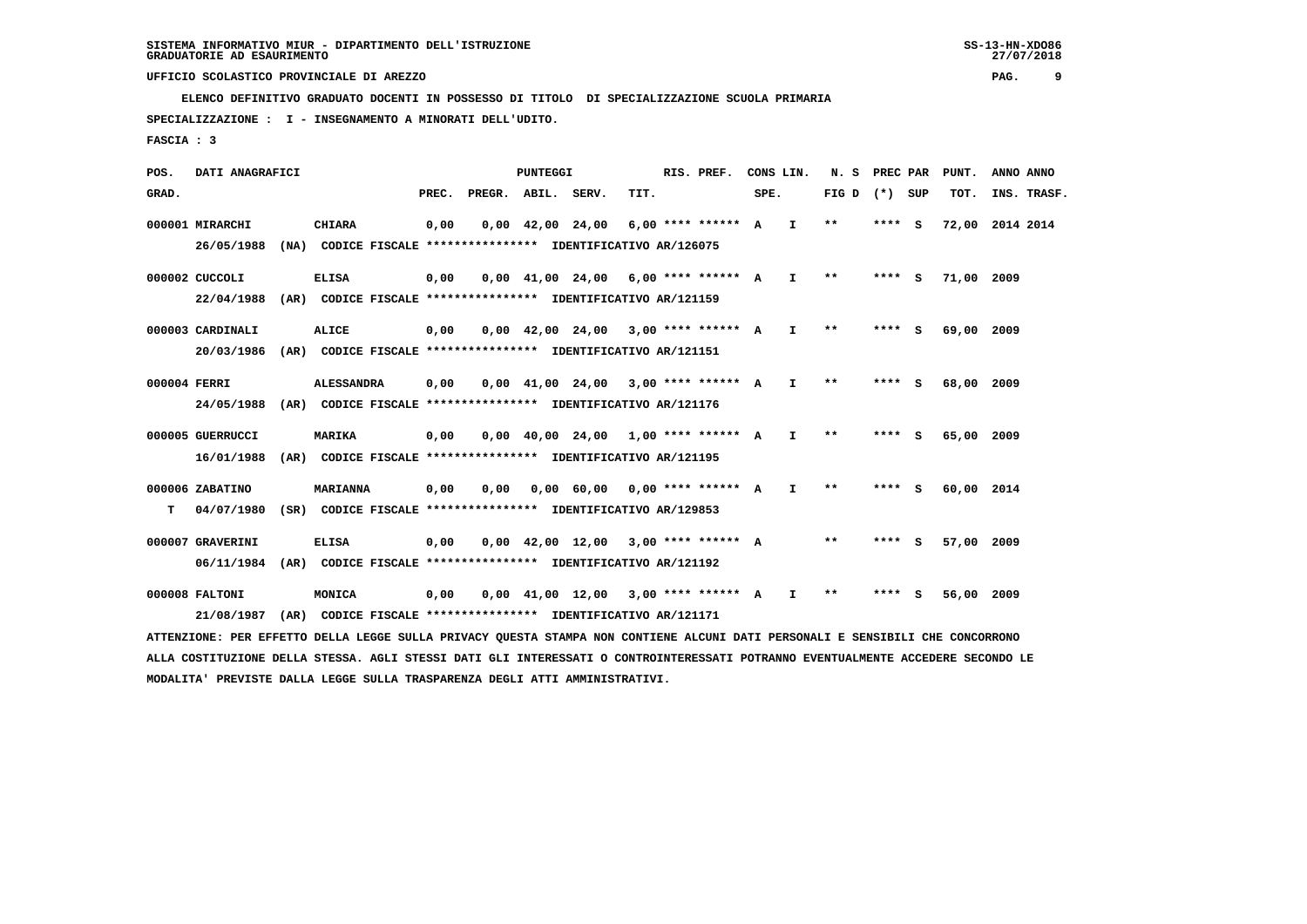**ELENCO DEFINITIVO GRADUATO DOCENTI IN POSSESSO DI TITOLO DI SPECIALIZZAZIONE SCUOLA PRIMARIA**

 **SPECIALIZZAZIONE : I - INSEGNAMENTO A MINORATI DELL'UDITO.**

 **FASCIA : 3**

 **POS. DATI ANAGRAFICI PUNTEGGI RIS. PREF. CONS LIN. N. S PREC PAR PUNT. ANNO ANNO**GRAD. **PREGRADE SERVEGE SERVE SERVE SPEREGE SPEREGALES SPEREGALES SPEREGALES SPEREGALES SPEREGALES SUP TOT. INS. TRASF. 000001 MIRARCHI CHIARA 0,00 0,00 42,00 24,00 6,00 \*\*\*\* \*\*\*\*\*\* A I \*\* \*\*\*\* S 72,00 2014 2014 26/05/1988 (NA) CODICE FISCALE \*\*\*\*\*\*\*\*\*\*\*\*\*\*\*\* IDENTIFICATIVO AR/126075 000002 CUCCOLI ELISA 0,00 0,00 41,00 24,00 6,00 \*\*\*\* \*\*\*\*\*\* A I \*\* \*\*\*\* S 71,00 2009 22/04/1988 (AR) CODICE FISCALE \*\*\*\*\*\*\*\*\*\*\*\*\*\*\*\* IDENTIFICATIVO AR/121159 000003 CARDINALI ALICE 0,00 0,00 42,00 24,00 3,00 \*\*\*\* \*\*\*\*\*\* A I \*\* \*\*\*\* S 69,00 2009 20/03/1986 (AR) CODICE FISCALE \*\*\*\*\*\*\*\*\*\*\*\*\*\*\*\* IDENTIFICATIVO AR/121151 000004 FERRI ALESSANDRA 0,00 0,00 41,00 24,00 3,00 \*\*\*\* \*\*\*\*\*\* A I \*\* \*\*\*\* S 68,00 2009 24/05/1988 (AR) CODICE FISCALE \*\*\*\*\*\*\*\*\*\*\*\*\*\*\*\* IDENTIFICATIVO AR/121176 000005 GUERRUCCI MARIKA 0,00 0,00 40,00 24,00 1,00 \*\*\*\* \*\*\*\*\*\* A I \*\* \*\*\*\* S 65,00 2009 16/01/1988 (AR) CODICE FISCALE \*\*\*\*\*\*\*\*\*\*\*\*\*\*\*\* IDENTIFICATIVO AR/121195 000006 ZABATINO MARIANNA 0,00 0,00 0,00 60,00 0,00 \*\*\*\* \*\*\*\*\*\* A I \*\* \*\*\*\* S 60,00 2014 T 04/07/1980 (SR) CODICE FISCALE \*\*\*\*\*\*\*\*\*\*\*\*\*\*\*\* IDENTIFICATIVO AR/129853 000007 GRAVERINI ELISA 0,00 0,00 42,00 12,00 3,00 \*\*\*\* \*\*\*\*\*\* A \*\* \*\*\*\* S 57,00 2009 06/11/1984 (AR) CODICE FISCALE \*\*\*\*\*\*\*\*\*\*\*\*\*\*\*\* IDENTIFICATIVO AR/121192 000008 FALTONI MONICA 0,00 0,00 41,00 12,00 3,00 \*\*\*\* \*\*\*\*\*\* A I \*\* \*\*\*\* S 56,00 2009 21/08/1987 (AR) CODICE FISCALE \*\*\*\*\*\*\*\*\*\*\*\*\*\*\*\* IDENTIFICATIVO AR/121171**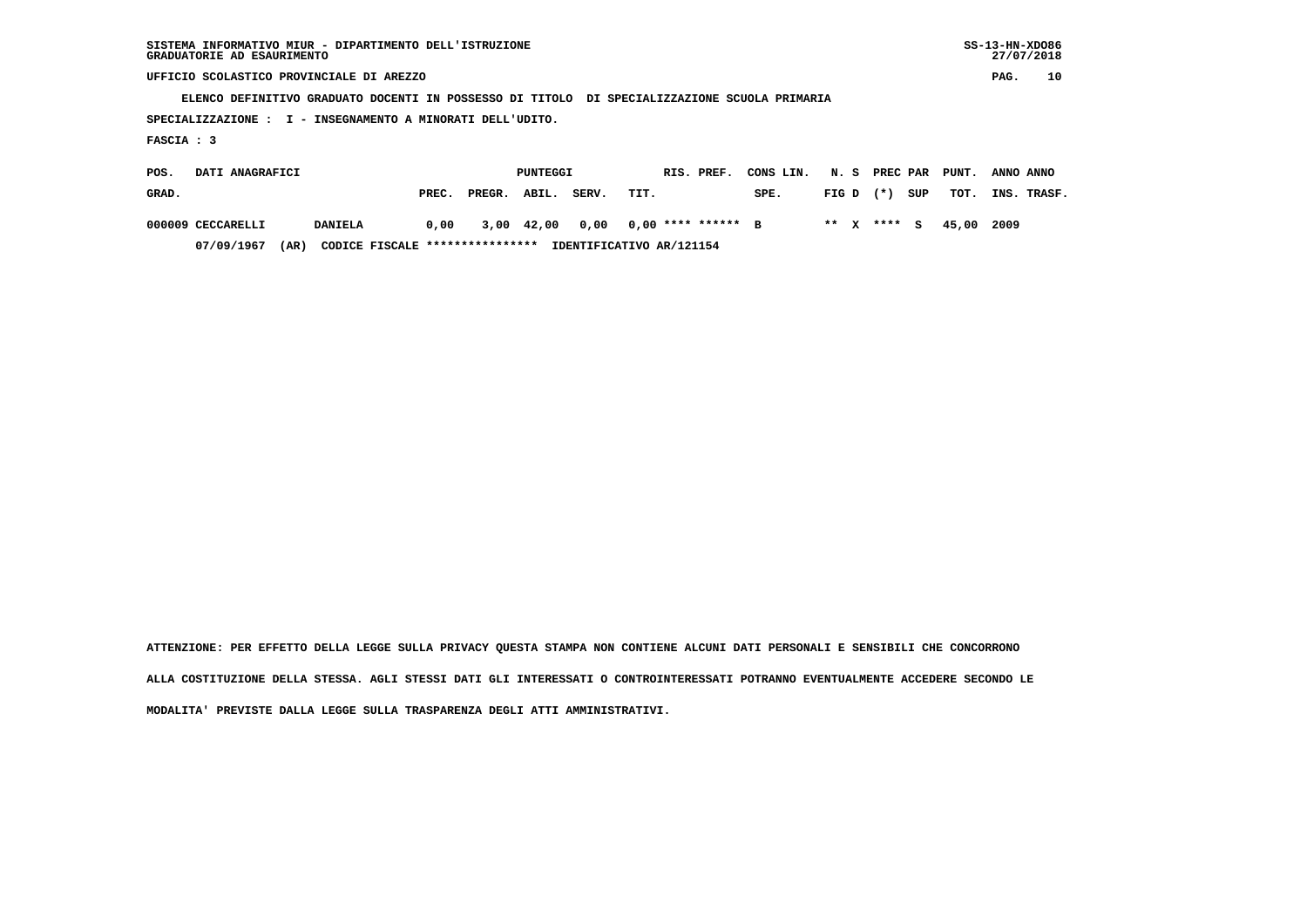| SISTEMA INFORMATIVO MIUR - DIPARTIMENTO DELL'ISTRUZIONE | $SS-13-HN-XDO86$ |
|---------------------------------------------------------|------------------|
| GRADUATORIE AD ESAURIMENTO                              | 27/07/2018       |

 **SISTEMA INFORMATIVO MIUR - DIPARTIMENTO DELL'ISTRUZIONE SS-13-HN-XDO86** $27/07/2018$ 

 **UFFICIO SCOLASTICO PROVINCIALE DI AREZZO PAG. 10**

 **ELENCO DEFINITIVO GRADUATO DOCENTI IN POSSESSO DI TITOLO DI SPECIALIZZAZIONE SCUOLA PRIMARIA**

 **SPECIALIZZAZIONE : I - INSEGNAMENTO A MINORATI DELL'UDITO.**

 **FASCIA : 3**

| POS.  | DATI ANAGRAFICI   |                                         |       | PUNTEGGI     |  | RIS. PREF. | CONS LIN.                | N. S PREC PAR |             |  | PUNT. | ANNO ANNO |             |
|-------|-------------------|-----------------------------------------|-------|--------------|--|------------|--------------------------|---------------|-------------|--|-------|-----------|-------------|
| GRAD. |                   |                                         | PREC. | PREGR. ABIL. |  | SERV.      | TIT.                     | SPE.          | $FIG D (*)$ |  | SUP   | тот.      | INS. TRASF. |
|       | 000009 CECCARELLI | <b>DANIELA</b>                          | 0,00  | 3,00 42,00   |  | 0,00       | $0.00$ **** ****** B     |               | ** x **** s |  |       | 45.00     | 2009        |
|       | 07/09/1967        | CODICE FISCALE ****************<br>(AR) |       |              |  |            | IDENTIFICATIVO AR/121154 |               |             |  |       |           |             |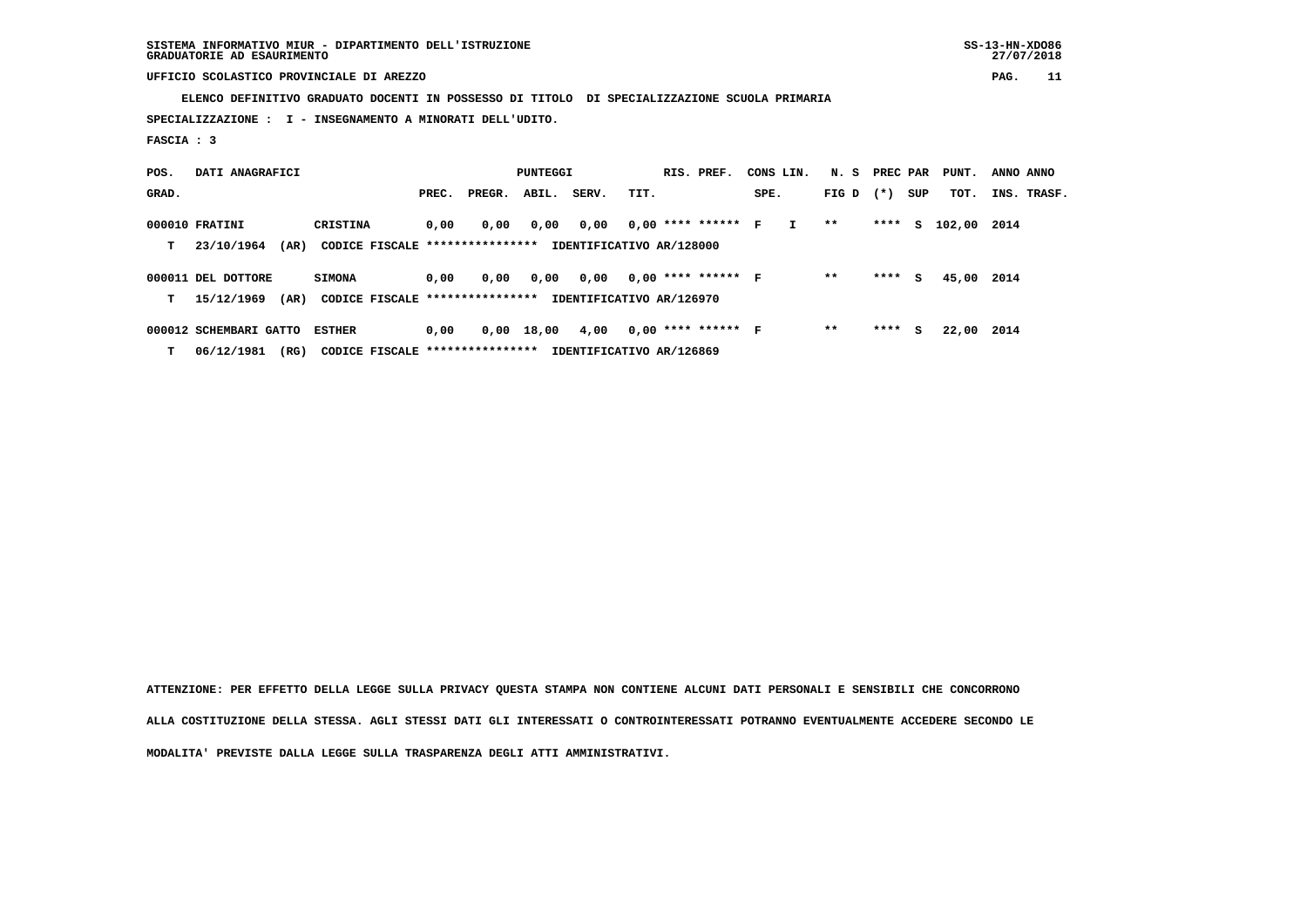**SISTEMA INFORMATIVO MIUR - DIPARTIMENTO DELL'ISTRUZIONE SS-13-HN-XDO86 GRADUATORIE AD ESAURIMENTO 27/07/2018**

 **UFFICIO SCOLASTICO PROVINCIALE DI AREZZO PAG. 11**

 **ELENCO DEFINITIVO GRADUATO DOCENTI IN POSSESSO DI TITOLO DI SPECIALIZZAZIONE SCUOLA PRIMARIA**

 **SPECIALIZZAZIONE : I - INSEGNAMENTO A MINORATI DELL'UDITO.**

 **FASCIA : 3**

| POS.  | DATI ANAGRAFICI        |                                  |       | PUNTEGGI |       | RIS. PREF.               | CONS LIN. |                      | N. S | PREC PAR     |       | PUNT.  | ANNO ANNO |        |      |             |
|-------|------------------------|----------------------------------|-------|----------|-------|--------------------------|-----------|----------------------|------|--------------|-------|--------|-----------|--------|------|-------------|
| GRAD. |                        |                                  | PREC. | PREGR.   | ABIL. | SERV.                    | TIT.      |                      | SPE. |              | FIG D | $(* )$ | SUP       | TOT.   |      | INS. TRASF. |
|       | 000010 FRATINI         | CRISTINA                         | 0,00  | 0,00     | 0,00  | 0,00                     |           | $0,00$ **** ****** F |      | $\mathbf{I}$ | **    | ****   | s         | 102,00 | 2014 |             |
| т     | (AR)<br>23/10/1964     | CODICE FISCALE ****************  |       |          |       | IDENTIFICATIVO AR/128000 |           |                      |      |              |       |        |           |        |      |             |
|       | 000011 DEL DOTTORE     | <b>SIMONA</b>                    | 0.00  | 0.00     | 0.00  | 0.00                     |           | $0,00$ **** ****** F |      |              | $* *$ | ****   | s         | 45,00  | 2014 |             |
| т     | 15/12/1969<br>(AR)     | CODICE FISCALE ***************** |       |          |       | IDENTIFICATIVO AR/126970 |           |                      |      |              |       |        |           |        |      |             |
|       | 000012 SCHEMBARI GATTO | <b>ESTHER</b>                    | 0.00  | 0,00     | 18,00 | 4,00                     |           | $0,00$ **** ****** F |      |              | $* *$ | ****   | s         | 22,00  | 2014 |             |
| т     | 06/12/1981<br>(RG)     | CODICE FISCALE ****************  |       |          |       | IDENTIFICATIVO AR/126869 |           |                      |      |              |       |        |           |        |      |             |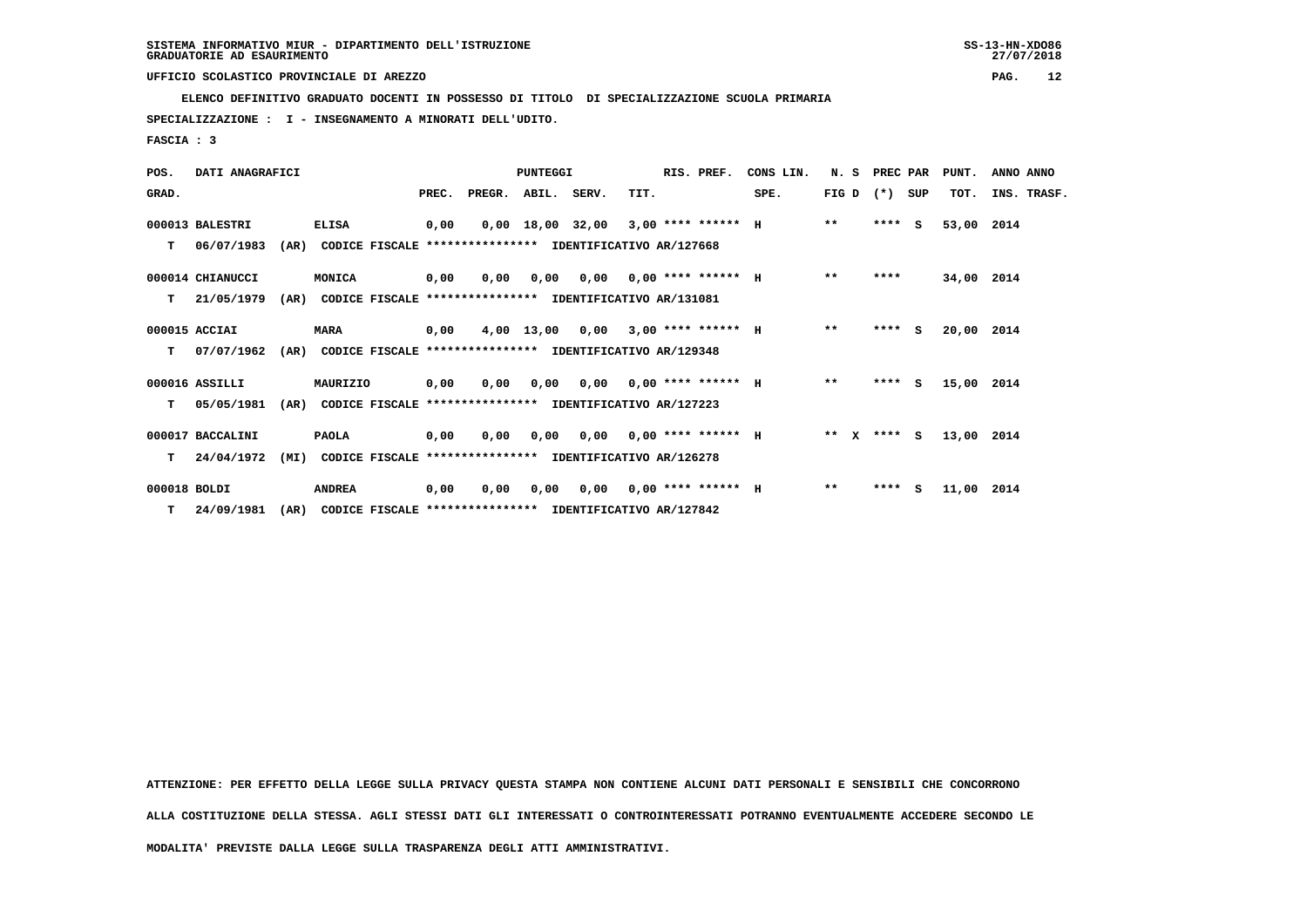**ELENCO DEFINITIVO GRADUATO DOCENTI IN POSSESSO DI TITOLO DI SPECIALIZZAZIONE SCUOLA PRIMARIA**

 **SPECIALIZZAZIONE : I - INSEGNAMENTO A MINORATI DELL'UDITO.**

 **FASCIA : 3**

| POS.         | DATI ANAGRAFICI  |      |                                                          |       |                                           | <b>PUNTEGGI</b> |                                       |      | RIS. PREF.                  | CONS LIN. | N. S            | PREC PAR |    | PUNT.      | ANNO ANNO   |
|--------------|------------------|------|----------------------------------------------------------|-------|-------------------------------------------|-----------------|---------------------------------------|------|-----------------------------|-----------|-----------------|----------|----|------------|-------------|
| GRAD.        |                  |      |                                                          | PREC. | PREGR. ABIL. SERV.                        |                 |                                       | TIT. |                             | SPE.      | FIG D $(*)$ SUP |          |    | TOT.       | INS. TRASF. |
|              | 000013 BALESTRI  |      | <b>ELISA</b>                                             | 0,00  |                                           |                 | $0,00$ 18,00 32,00 3,00 **** ****** H |      |                             |           | $**$            | $***$ S  |    | 53,00      | 2014        |
| т            | 06/07/1983       | (AR) | CODICE FISCALE                                           |       | **************** IDENTIFICATIVO AR/127668 |                 |                                       |      |                             |           |                 |          |    |            |             |
|              | 000014 CHIANUCCI |      | MONICA                                                   | 0.00  | 0.00                                      | 0.00            |                                       |      | $0,00$ 0,00 **** ****** H   |           | $***$           | ****     |    | 34,00 2014 |             |
| т            | 21/05/1979       | (AR) | CODICE FISCALE **************** IDENTIFICATIVO AR/131081 |       |                                           |                 |                                       |      |                             |           |                 |          |    |            |             |
|              | 000015 ACCIAI    |      | <b>MARA</b>                                              | 0,00  |                                           | 4,00 13,00      | 0.00                                  |      | $3.00$ **** ****** H        |           | $***$           | ****     | S. | 20,00 2014 |             |
| т            | 07/07/1962       | (AR) | CODICE FISCALE **************** IDENTIFICATIVO AR/129348 |       |                                           |                 |                                       |      |                             |           |                 |          |    |            |             |
|              | 000016 ASSILLI   |      | MAURIZIO                                                 | 0,00  | 0.00                                      | 0,00            |                                       |      | $0.00$ $0.00$ **** ****** H |           | $**$            | $***$ S  |    | 15,00 2014 |             |
| т            | 05/05/1981       | (AR) | CODICE FISCALE **************** IDENTIFICATIVO AR/127223 |       |                                           |                 |                                       |      |                             |           |                 |          |    |            |             |
|              | 000017 BACCALINI |      | <b>PAOLA</b>                                             | 0,00  | 0,00                                      | 0.00            |                                       |      | $0,00$ $0,00$ **** ****** H |           | ** $X$ **** S   |          |    | 13,00 2014 |             |
| T.           | 24/04/1972       | (MI) | CODICE FISCALE **************** IDENTIFICATIVO AR/126278 |       |                                           |                 |                                       |      |                             |           |                 |          |    |            |             |
| 000018 BOLDI |                  |      | <b>ANDREA</b>                                            | 0,00  | 0,00                                      | 0,00            | 0,00                                  |      | $0.00$ **** ****** H        |           | $***$           | $***$ S  |    | 11,00      | 2014        |
| т            | 24/09/1981       | (AR) | CODICE FISCALE **************** IDENTIFICATIVO AR/127842 |       |                                           |                 |                                       |      |                             |           |                 |          |    |            |             |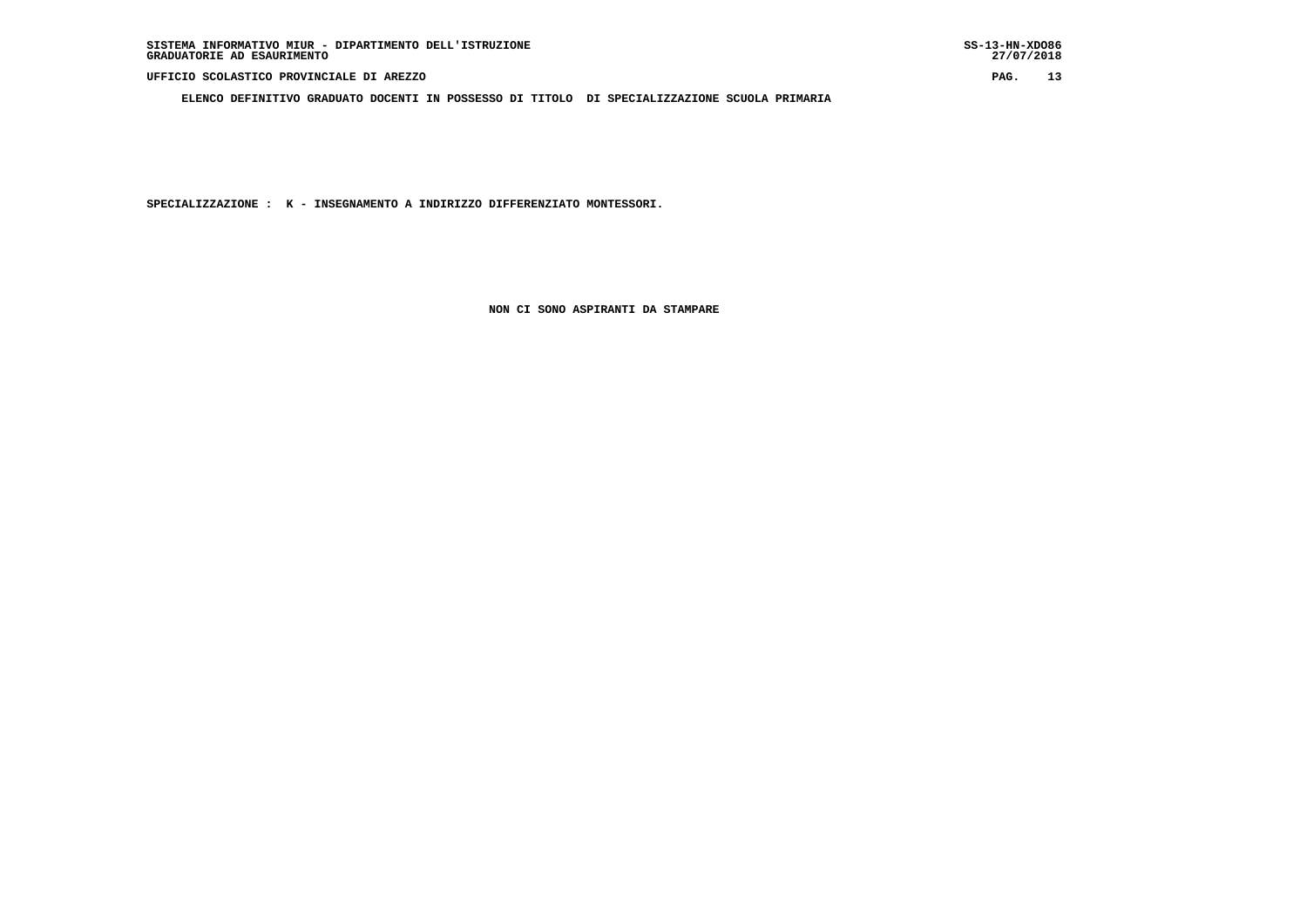**ELENCO DEFINITIVO GRADUATO DOCENTI IN POSSESSO DI TITOLO DI SPECIALIZZAZIONE SCUOLA PRIMARIA**

 **SPECIALIZZAZIONE : K - INSEGNAMENTO A INDIRIZZO DIFFERENZIATO MONTESSORI.**

 **NON CI SONO ASPIRANTI DA STAMPARE**